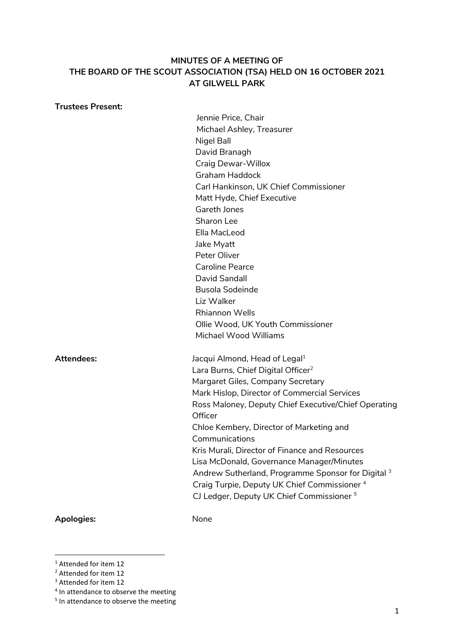## **MINUTES OF A MEETING OF THE BOARD OF THE SCOUT ASSOCIATION (TSA) HELD ON 16 OCTOBER 2021 AT GILWELL PARK**

# Jennie Price, Chair Michael Ashley, Treasurer Nigel Ball David Branagh Craig Dewar-Willox Graham Haddock Carl Hankinson, UK Chief Commissioner Matt Hyde, Chief Executive Gareth Jones Sharon Lee Ella MacLeod Jake Myatt Peter Oliver Caroline Pearce David Sandall Busola Sodeinde Liz Walker Rhiannon Wells Ollie Wood, UK Youth Commissioner Michael Wood Williams Attendees: Jacqui Almond, Head of Legal<sup>1</sup> Lara Burns, Chief Digital Officer<sup>2</sup> Margaret Giles, Company Secretary Mark Hislop, Director of Commercial Services Ross Maloney, Deputy Chief Executive/Chief Operating **Officer** Chloe Kembery, Director of Marketing and Communications Kris Murali, Director of Finance and Resources Lisa McDonald, Governance Manager/Minutes Andrew Sutherland, Programme Sponsor for Digital 3 Craig Turpie, Deputy UK Chief Commissioner <sup>4</sup> CJ Ledger, Deputy UK Chief Commissioner <sup>5</sup> Apologies: None

**Trustees Present:**

<sup>1</sup> 

<sup>&</sup>lt;sup>1</sup> Attended for item 12

<sup>2</sup> Attended for item 12

<sup>&</sup>lt;sup>3</sup> Attended for item 12

<sup>&</sup>lt;sup>4</sup> In attendance to observe the meeting

<sup>&</sup>lt;sup>5</sup> In attendance to observe the meeting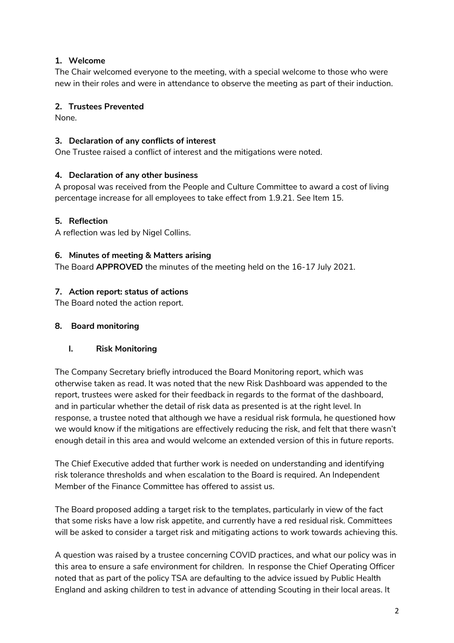# **1. Welcome**

The Chair welcomed everyone to the meeting, with a special welcome to those who were new in their roles and were in attendance to observe the meeting as part of their induction.

## **2. Trustees Prevented**

None.

## **3. Declaration of any conflicts of interest**

One Trustee raised a conflict of interest and the mitigations were noted.

## **4. Declaration of any other business**

A proposal was received from the People and Culture Committee to award a cost of living percentage increase for all employees to take effect from 1.9.21. See Item 15.

#### **5. Reflection**

A reflection was led by Nigel Collins.

#### **6. Minutes of meeting & Matters arising**

The Board **APPROVED** the minutes of the meeting held on the 16-17 July 2021.

## **7. Action report: status of actions**

The Board noted the action report.

#### **8. Board monitoring**

## **I. Risk Monitoring**

The Company Secretary briefly introduced the Board Monitoring report, which was otherwise taken as read. It was noted that the new Risk Dashboard was appended to the report, trustees were asked for their feedback in regards to the format of the dashboard, and in particular whether the detail of risk data as presented is at the right level. In response, a trustee noted that although we have a residual risk formula, he questioned how we would know if the mitigations are effectively reducing the risk, and felt that there wasn't enough detail in this area and would welcome an extended version of this in future reports.

The Chief Executive added that further work is needed on understanding and identifying risk tolerance thresholds and when escalation to the Board is required. An Independent Member of the Finance Committee has offered to assist us.

The Board proposed adding a target risk to the templates, particularly in view of the fact that some risks have a low risk appetite, and currently have a red residual risk. Committees will be asked to consider a target risk and mitigating actions to work towards achieving this.

A question was raised by a trustee concerning COVID practices, and what our policy was in this area to ensure a safe environment for children. In response the Chief Operating Officer noted that as part of the policy TSA are defaulting to the advice issued by Public Health England and asking children to test in advance of attending Scouting in their local areas. It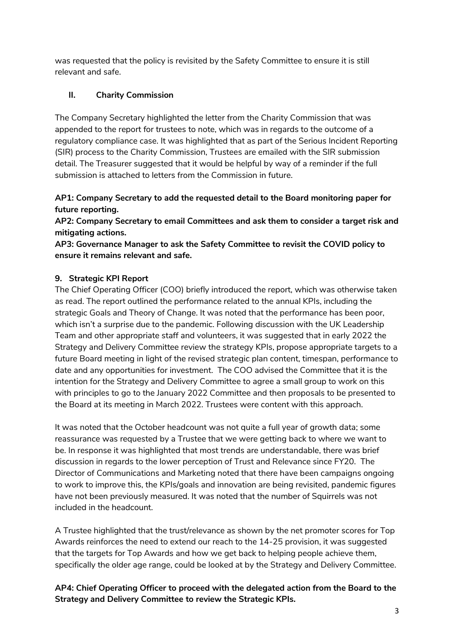was requested that the policy is revisited by the Safety Committee to ensure it is still relevant and safe.

# **II. Charity Commission**

The Company Secretary highlighted the letter from the Charity Commission that was appended to the report for trustees to note, which was in regards to the outcome of a regulatory compliance case. It was highlighted that as part of the Serious Incident Reporting (SIR) process to the Charity Commission, Trustees are emailed with the SIR submission detail. The Treasurer suggested that it would be helpful by way of a reminder if the full submission is attached to letters from the Commission in future.

# **AP1: Company Secretary to add the requested detail to the Board monitoring paper for future reporting.**

**AP2: Company Secretary to email Committees and ask them to consider a target risk and mitigating actions.**

**AP3: Governance Manager to ask the Safety Committee to revisit the COVID policy to ensure it remains relevant and safe.** 

# **9. Strategic KPI Report**

The Chief Operating Officer (COO) briefly introduced the report, which was otherwise taken as read. The report outlined the performance related to the annual KPIs, including the strategic Goals and Theory of Change. It was noted that the performance has been poor, which isn't a surprise due to the pandemic. Following discussion with the UK Leadership Team and other appropriate staff and volunteers, it was suggested that in early 2022 the Strategy and Delivery Committee review the strategy KPIs, propose appropriate targets to a future Board meeting in light of the revised strategic plan content, timespan, performance to date and any opportunities for investment. The COO advised the Committee that it is the intention for the Strategy and Delivery Committee to agree a small group to work on this with principles to go to the January 2022 Committee and then proposals to be presented to the Board at its meeting in March 2022. Trustees were content with this approach.

It was noted that the October headcount was not quite a full year of growth data; some reassurance was requested by a Trustee that we were getting back to where we want to be. In response it was highlighted that most trends are understandable, there was brief discussion in regards to the lower perception of Trust and Relevance since FY20. The Director of Communications and Marketing noted that there have been campaigns ongoing to work to improve this, the KPIs/goals and innovation are being revisited, pandemic figures have not been previously measured. It was noted that the number of Squirrels was not included in the headcount.

A Trustee highlighted that the trust/relevance as shown by the net promoter scores for Top Awards reinforces the need to extend our reach to the 14-25 provision, it was suggested that the targets for Top Awards and how we get back to helping people achieve them, specifically the older age range, could be looked at by the Strategy and Delivery Committee.

**AP4: Chief Operating Officer to proceed with the delegated action from the Board to the Strategy and Delivery Committee to review the Strategic KPIs.**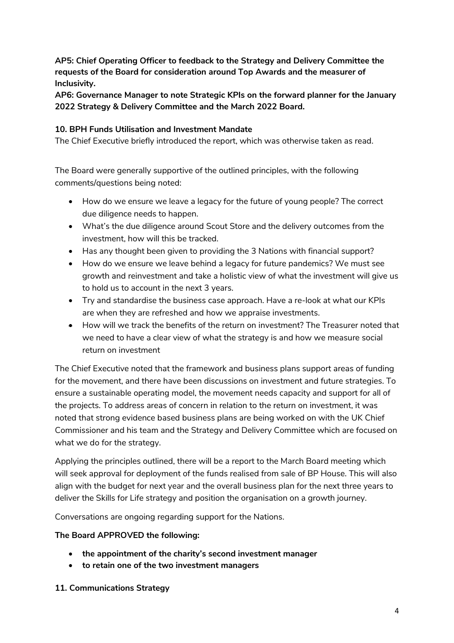**AP5: Chief Operating Officer to feedback to the Strategy and Delivery Committee the requests of the Board for consideration around Top Awards and the measurer of Inclusivity.** 

**AP6: Governance Manager to note Strategic KPIs on the forward planner for the January 2022 Strategy & Delivery Committee and the March 2022 Board.** 

#### **10. BPH Funds Utilisation and Investment Mandate**

The Chief Executive briefly introduced the report, which was otherwise taken as read.

The Board were generally supportive of the outlined principles, with the following comments/questions being noted:

- How do we ensure we leave a legacy for the future of young people? The correct due diligence needs to happen.
- What's the due diligence around Scout Store and the delivery outcomes from the investment, how will this be tracked.
- Has any thought been given to providing the 3 Nations with financial support?
- How do we ensure we leave behind a legacy for future pandemics? We must see growth and reinvestment and take a holistic view of what the investment will give us to hold us to account in the next 3 years.
- Try and standardise the business case approach. Have a re-look at what our KPIs are when they are refreshed and how we appraise investments.
- How will we track the benefits of the return on investment? The Treasurer noted that we need to have a clear view of what the strategy is and how we measure social return on investment

The Chief Executive noted that the framework and business plans support areas of funding for the movement, and there have been discussions on investment and future strategies. To ensure a sustainable operating model, the movement needs capacity and support for all of the projects. To address areas of concern in relation to the return on investment, it was noted that strong evidence based business plans are being worked on with the UK Chief Commissioner and his team and the Strategy and Delivery Committee which are focused on what we do for the strategy.

Applying the principles outlined, there will be a report to the March Board meeting which will seek approval for deployment of the funds realised from sale of BP House. This will also align with the budget for next year and the overall business plan for the next three years to deliver the Skills for Life strategy and position the organisation on a growth journey.

Conversations are ongoing regarding support for the Nations.

## **The Board APPROVED the following:**

- **the appointment of the charity's second investment manager**
- **to retain one of the two investment managers**
- **11. Communications Strategy**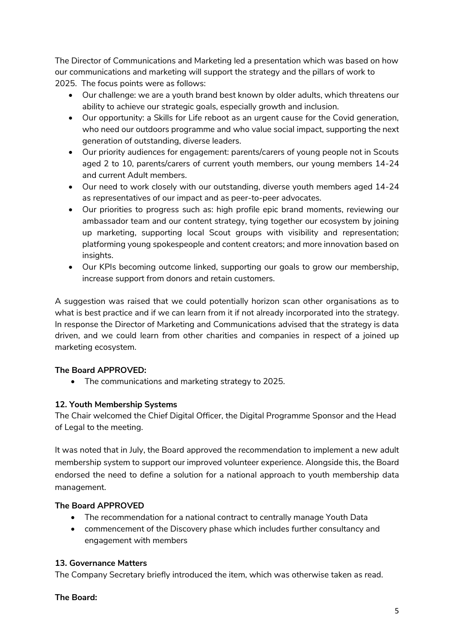The Director of Communications and Marketing led a presentation which was based on how our communications and marketing will support the strategy and the pillars of work to 2025. The focus points were as follows:

- Our challenge: we are a youth brand best known by older adults, which threatens our ability to achieve our strategic goals, especially growth and inclusion.
- Our opportunity: a Skills for Life reboot as an urgent cause for the Covid generation, who need our outdoors programme and who value social impact, supporting the next generation of outstanding, diverse leaders.
- Our priority audiences for engagement: parents/carers of young people not in Scouts aged 2 to 10, parents/carers of current youth members, our young members 14-24 and current Adult members.
- Our need to work closely with our outstanding, diverse youth members aged 14-24 as representatives of our impact and as peer-to-peer advocates.
- Our priorities to progress such as: high profile epic brand moments, reviewing our ambassador team and our content strategy, tying together our ecosystem by joining up marketing, supporting local Scout groups with visibility and representation; platforming young spokespeople and content creators; and more innovation based on insights.
- Our KPIs becoming outcome linked, supporting our goals to grow our membership, increase support from donors and retain customers.

A suggestion was raised that we could potentially horizon scan other organisations as to what is best practice and if we can learn from it if not already incorporated into the strategy. In response the Director of Marketing and Communications advised that the strategy is data driven, and we could learn from other charities and companies in respect of a joined up marketing ecosystem.

# **The Board APPROVED:**

• The communications and marketing strategy to 2025.

# **12. Youth Membership Systems**

The Chair welcomed the Chief Digital Officer, the Digital Programme Sponsor and the Head of Legal to the meeting.

It was noted that in July, the Board approved the recommendation to implement a new adult membership system to support our improved volunteer experience. Alongside this, the Board endorsed the need to define a solution for a national approach to youth membership data management.

## **The Board APPROVED**

- The recommendation for a national contract to centrally manage Youth Data
- commencement of the Discovery phase which includes further consultancy and engagement with members

## **13. Governance Matters**

The Company Secretary briefly introduced the item, which was otherwise taken as read.

## **The Board:**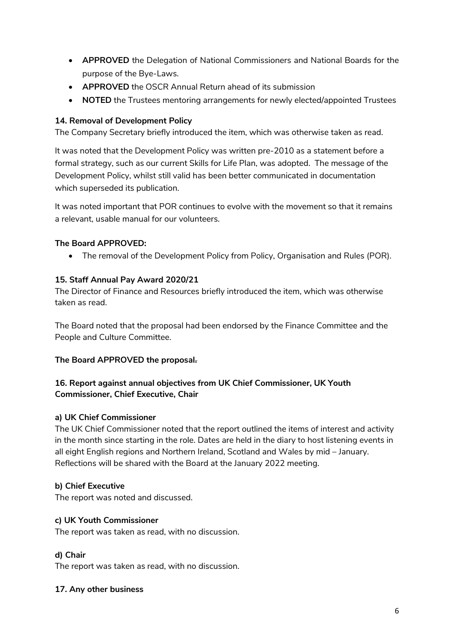- **APPROVED** the Delegation of National Commissioners and National Boards for the purpose of the Bye-Laws.
- **APPROVED** the OSCR Annual Return ahead of its submission
- **NOTED** the Trustees mentoring arrangements for newly elected/appointed Trustees

## **14. Removal of Development Policy**

The Company Secretary briefly introduced the item, which was otherwise taken as read.

It was noted that the Development Policy was written pre-2010 as a statement before a formal strategy, such as our current Skills for Life Plan, was adopted. The message of the Development Policy, whilst still valid has been better communicated in documentation which superseded its publication.

It was noted important that POR continues to evolve with the movement so that it remains a relevant, usable manual for our volunteers.

#### **The Board APPROVED:**

The removal of the Development Policy from Policy, Organisation and Rules (POR).

#### **15. Staff Annual Pay Award 2020/21**

The Director of Finance and Resources briefly introduced the item, which was otherwise taken as read.

The Board noted that the proposal had been endorsed by the Finance Committee and the People and Culture Committee.

#### **The Board APPROVED the proposal.**

# **16. Report against annual objectives from UK Chief Commissioner, UK Youth Commissioner, Chief Executive, Chair**

#### **a) UK Chief Commissioner**

The UK Chief Commissioner noted that the report outlined the items of interest and activity in the month since starting in the role. Dates are held in the diary to host listening events in all eight English regions and Northern Ireland, Scotland and Wales by mid – January. Reflections will be shared with the Board at the January 2022 meeting.

#### **b) Chief Executive**

The report was noted and discussed.

#### **c) UK Youth Commissioner**

The report was taken as read, with no discussion.

## **d) Chair**

The report was taken as read, with no discussion.

## **17. Any other business**